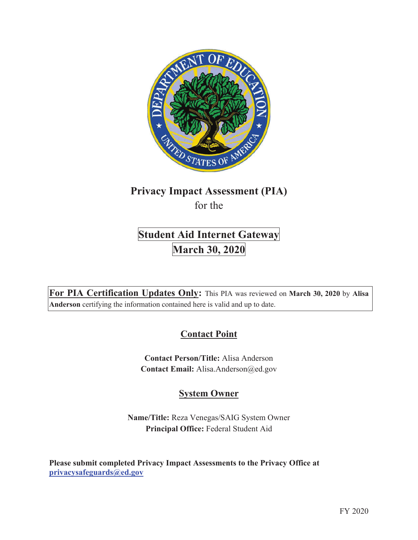

# **Privacy Impact Assessment (PIA)**  for the

# **Student Aid Internet Gateway March 30, 2020**

**For PIA Certification Updates Only:** This PIA was reviewed on **March 30, 2020** by **Alisa Anderson** certifying the information contained here is valid and up to date.

# **Contact Point**

**Contact Person/Title:** Alisa Anderson **Contact Email:** Alisa.Anderson@ed.gov

# **System Owner**

**Name/Title:** Reza Venegas/SAIG System Owner **Principal Office:** Federal Student Aid

**Please submit completed Privacy Impact Assessments to the Privacy Office at privacysafeguards@ed.gov**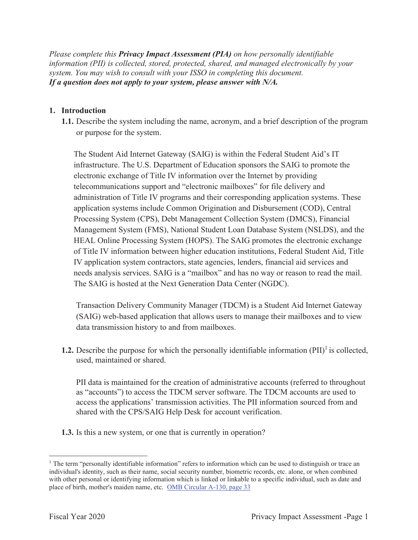*Please complete this Privacy Impact Assessment (PIA) on how personally identifiable information (PII) is collected, stored, protected, shared, and managed electronically by your system. You may wish to consult with your ISSO in completing this document. If a question does not apply to your system, please answer with N/A.*

#### **1. Introduction**

**1.1.** Describe the system including the name, acronym, and a brief description of the program or purpose for the system.

The Student Aid Internet Gateway (SAIG) is within the Federal Student Aid's IT infrastructure. The U.S. Department of Education sponsors the SAIG to promote the electronic exchange of Title IV information over the Internet by providing telecommunications support and "electronic mailboxes" for file delivery and administration of Title IV programs and their corresponding application systems. These application systems include Common Origination and Disbursement (COD), Central Processing System (CPS), Debt Management Collection System (DMCS), Financial Management System (FMS), National Student Loan Database System (NSLDS), and the HEAL Online Processing System (HOPS). The SAIG promotes the electronic exchange of Title IV information between higher education institutions, Federal Student Aid, Title IV application system contractors, state agencies, lenders, financial aid services and needs analysis services. SAIG is a "mailbox" and has no way or reason to read the mail. The SAIG is hosted at the Next Generation Data Center (NGDC).

Transaction Delivery Community Manager (TDCM) is a Student Aid Internet Gateway (SAIG) web-based application that allows users to manage their mailboxes and to view data transmission history to and from mailboxes.

**1.2.** Describe the purpose for which the personally identifiable information  $(PII)^{1}$  is collected, used, maintained or shared.

PII data is maintained for the creation of administrative accounts (referred to throughout as "accounts") to access the TDCM server software. The TDCM accounts are used to access the applications' transmission activities. The PII information sourced from and shared with the CPS/SAIG Help Desk for account verification.

**1.3.** Is this a new system, or one that is currently in operation?

<sup>&</sup>lt;sup>1</sup> The term "personally identifiable information" refers to information which can be used to distinguish or trace an individual's identity, such as their name, social security number, biometric records, etc. alone, or when combined with other personal or identifying information which is linked or linkable to a specific individual, such as date and place of birth, mother's maiden name, etc. OMB Circular A-130, page 33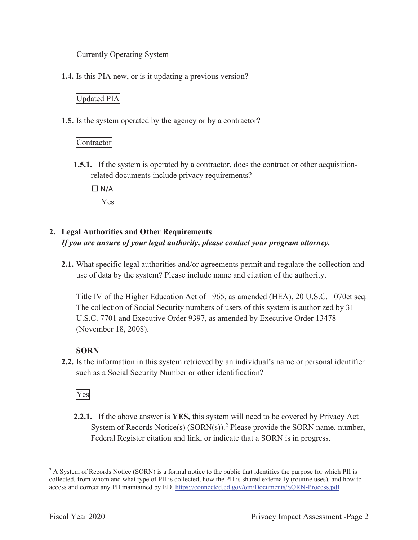#### Currently Operating System

**1.4.** Is this PIA new, or is it updating a previous version?

#### Updated PIA

**1.5.** Is the system operated by the agency or by a contractor?

#### Contractor

**1.5.1.** If the system is operated by a contractor, does the contract or other acquisitionrelated documents include privacy requirements?

 $\Box$  N/A

Yes

### **2. Legal Authorities and Other Requirements**  *If you are unsure of your legal authority, please contact your program attorney.*

**2.1.** What specific legal authorities and/or agreements permit and regulate the collection and use of data by the system? Please include name and citation of the authority.

Title IV of the Higher Education Act of 1965, as amended (HEA), 20 U.S.C. 1070et seq. The collection of Social Security numbers of users of this system is authorized by 31 U.S.C. 7701 and Executive Order 9397, as amended by Executive Order 13478 (November 18, 2008).

#### **SORN**

**2.2.** Is the information in this system retrieved by an individual's name or personal identifier such as a Social Security Number or other identification?

### Yes

**2.2.1.** If the above answer is **YES,** this system will need to be covered by Privacy Act System of Records Notice(s)  $(SORN(s))$ .<sup>2</sup> Please provide the SORN name, number, Federal Register citation and link, or indicate that a SORN is in progress.

<sup>&</sup>lt;sup>2</sup> A System of Records Notice (SORN) is a formal notice to the public that identifies the purpose for which PII is collected, from whom and what type of PII is collected, how the PII is shared externally (routine uses), and how to access and correct any PII maintained by ED. https://connected.ed.gov/om/Documents/SORN-Process.pdf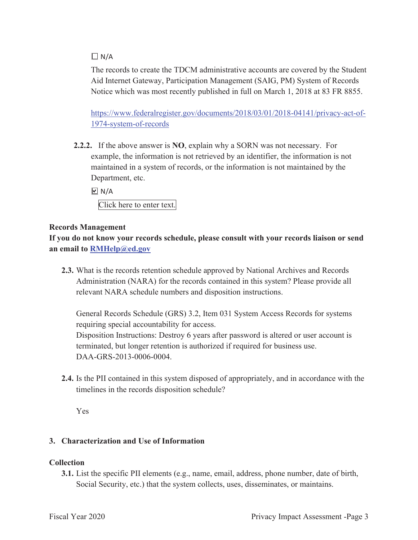#### $\Box N/A$

The records to create the TDCM administrative accounts are covered by the Student Aid Internet Gateway, Participation Management (SAIG, PM) System of Records Notice which was most recently published in full on March 1, 2018 at 83 FR 8855.

https://www.federalregister.gov/documents/2018/03/01/2018-04141/privacy-act-of-1974-system-of-records

**2.2.2.** If the above answer is **NO**, explain why a SORN was not necessary. For example, the information is not retrieved by an identifier, the information is not maintained in a system of records, or the information is not maintained by the Department, etc.

 $\boxdot$  N/A Click here to enter text.

#### **Records Management**

**If you do not know your records schedule, please consult with your records liaison or send an email to RMHelp@ed.gov**

**2.3.** What is the records retention schedule approved by National Archives and Records Administration (NARA) for the records contained in this system? Please provide all relevant NARA schedule numbers and disposition instructions.

General Records Schedule (GRS) 3.2, Item 031 System Access Records for systems requiring special accountability for access. Disposition Instructions: Destroy 6 years after password is altered or user account is terminated, but longer retention is authorized if required for business use. DAA-GRS-2013-0006-0004.

**2.4.** Is the PII contained in this system disposed of appropriately, and in accordance with the timelines in the records disposition schedule?

Yes

#### **3. Characterization and Use of Information**

#### **Collection**

**3.1.** List the specific PII elements (e.g., name, email, address, phone number, date of birth, Social Security, etc.) that the system collects, uses, disseminates, or maintains.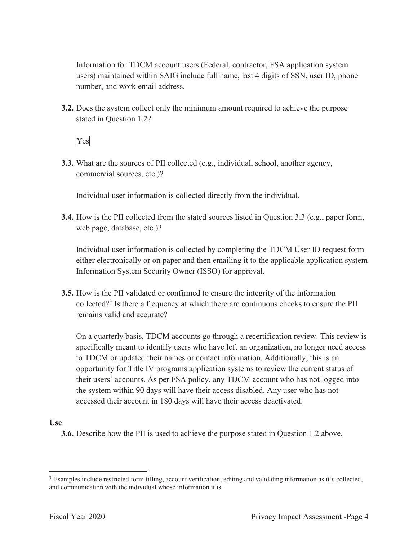Information for TDCM account users (Federal, contractor, FSA application system users) maintained within SAIG include full name, last 4 digits of SSN, user ID, phone number, and work email address.

**3.2.** Does the system collect only the minimum amount required to achieve the purpose stated in Question 1.2?

Yes

**3.3.** What are the sources of PII collected (e.g., individual, school, another agency, commercial sources, etc.)?

Individual user information is collected directly from the individual.

**3.4.** How is the PII collected from the stated sources listed in Question 3.3 (e.g., paper form, web page, database, etc.)?

Individual user information is collected by completing the TDCM User ID request form either electronically or on paper and then emailing it to the applicable application system Information System Security Owner (ISSO) for approval.

**3.5.** How is the PII validated or confirmed to ensure the integrity of the information collected?<sup>3</sup> Is there a frequency at which there are continuous checks to ensure the PII remains valid and accurate?

On a quarterly basis, TDCM accounts go through a recertification review. This review is specifically meant to identify users who have left an organization, no longer need access to TDCM or updated their names or contact information. Additionally, this is an opportunity for Title IV programs application systems to review the current status of their users' accounts. As per FSA policy, any TDCM account who has not logged into the system within 90 days will have their access disabled. Any user who has not accessed their account in 180 days will have their access deactivated.

#### **Use**

**3.6.** Describe how the PII is used to achieve the purpose stated in Question 1.2 above.

<sup>&</sup>lt;sup>3</sup> Examples include restricted form filling, account verification, editing and validating information as it's collected, and communication with the individual whose information it is.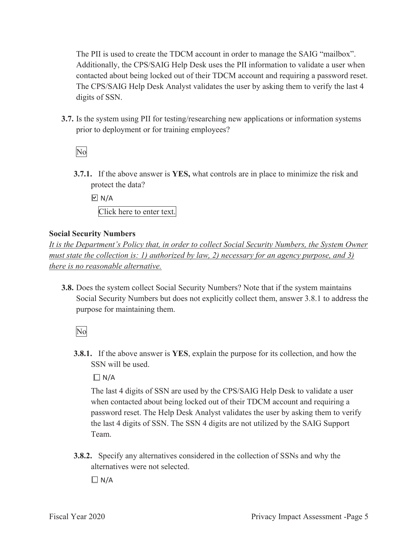The PII is used to create the TDCM account in order to manage the SAIG "mailbox". Additionally, the CPS/SAIG Help Desk uses the PII information to validate a user when contacted about being locked out of their TDCM account and requiring a password reset. The CPS/SAIG Help Desk Analyst validates the user by asking them to verify the last 4 digits of SSN.

**3.7.** Is the system using PII for testing/researching new applications or information systems prior to deployment or for training employees?

No

**3.7.1.** If the above answer is **YES,** what controls are in place to minimize the risk and protect the data?

 $\boxdot$  N/A

Click here to enter text.

#### **Social Security Numbers**

*It is the Department's Policy that, in order to collect Social Security Numbers, the System Owner must state the collection is: 1) authorized by law, 2) necessary for an agency purpose, and 3) there is no reasonable alternative.* 

**3.8.** Does the system collect Social Security Numbers? Note that if the system maintains Social Security Numbers but does not explicitly collect them, answer 3.8.1 to address the purpose for maintaining them.

No

**3.8.1.** If the above answer is **YES**, explain the purpose for its collection, and how the SSN will be used.

 $\Box$  N/A

The last 4 digits of SSN are used by the CPS/SAIG Help Desk to validate a user when contacted about being locked out of their TDCM account and requiring a password reset. The Help Desk Analyst validates the user by asking them to verify the last 4 digits of SSN. The SSN 4 digits are not utilized by the SAIG Support Team.

**3.8.2.** Specify any alternatives considered in the collection of SSNs and why the alternatives were not selected.

 $\Box N/A$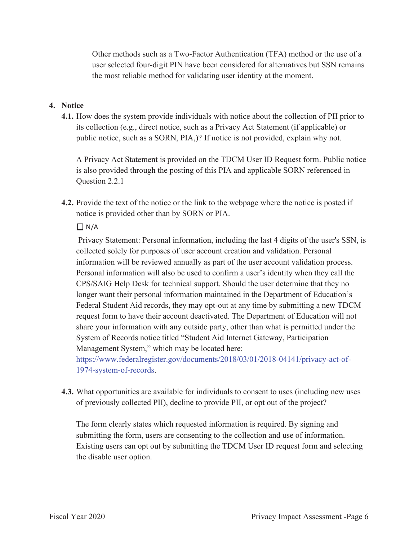Other methods such as a Two-Factor Authentication (TFA) method or the use of a user selected four-digit PIN have been considered for alternatives but SSN remains the most reliable method for validating user identity at the moment.

#### **4. Notice**

**4.1.** How does the system provide individuals with notice about the collection of PII prior to its collection (e.g., direct notice, such as a Privacy Act Statement (if applicable) or public notice, such as a SORN, PIA,)? If notice is not provided, explain why not.

A Privacy Act Statement is provided on the TDCM User ID Request form. Public notice is also provided through the posting of this PIA and applicable SORN referenced in Question 2.2.1

**4.2.** Provide the text of the notice or the link to the webpage where the notice is posted if notice is provided other than by SORN or PIA.

#### $\Box$  N/A

 Privacy Statement: Personal information, including the last 4 digits of the user's SSN, is collected solely for purposes of user account creation and validation. Personal information will be reviewed annually as part of the user account validation process. Personal information will also be used to confirm a user's identity when they call the CPS/SAIG Help Desk for technical support. Should the user determine that they no longer want their personal information maintained in the Department of Education's Federal Student Aid records, they may opt-out at any time by submitting a new TDCM request form to have their account deactivated. The Department of Education will not share your information with any outside party, other than what is permitted under the System of Records notice titled "Student Aid Internet Gateway, Participation Management System," which may be located here:

https://www.federalregister.gov/documents/2018/03/01/2018-04141/privacy-act-of-1974-system-of-records.

**4.3.** What opportunities are available for individuals to consent to uses (including new uses of previously collected PII), decline to provide PII, or opt out of the project?

The form clearly states which requested information is required. By signing and submitting the form, users are consenting to the collection and use of information. Existing users can opt out by submitting the TDCM User ID request form and selecting the disable user option.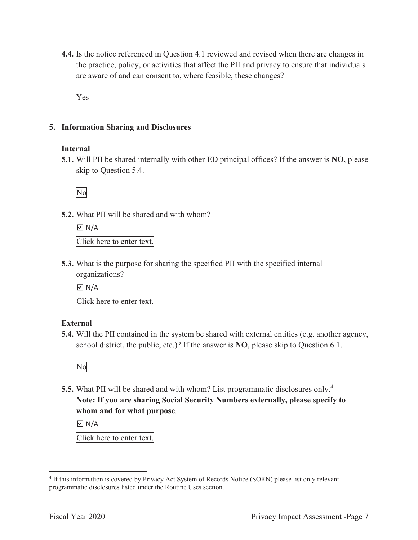**4.4.** Is the notice referenced in Question 4.1 reviewed and revised when there are changes in the practice, policy, or activities that affect the PII and privacy to ensure that individuals are aware of and can consent to, where feasible, these changes?

Yes

#### **5. Information Sharing and Disclosures**

#### **Internal**

**5.1.** Will PII be shared internally with other ED principal offices? If the answer is **NO**, please skip to Question 5.4.

No

**5.2.** What PII will be shared and with whom?

 $\boxdot$  N/A

Click here to enter text.

**5.3.** What is the purpose for sharing the specified PII with the specified internal organizations?

 $\boxdot$  N/A

Click here to enter text.

#### **External**

**5.4.** Will the PII contained in the system be shared with external entities (e.g. another agency, school district, the public, etc.)? If the answer is **NO**, please skip to Question 6.1.



**5.5.** What PII will be shared and with whom? List programmatic disclosures only.4 **Note: If you are sharing Social Security Numbers externally, please specify to whom and for what purpose**.

 $\boxdot$  N/A

Click here to enter text.

<sup>4</sup> If this information is covered by Privacy Act System of Records Notice (SORN) please list only relevant programmatic disclosures listed under the Routine Uses section.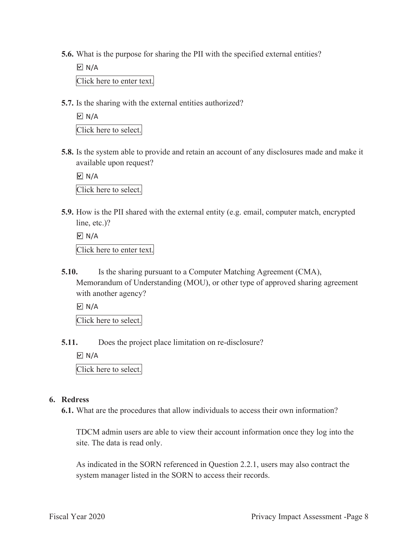- **5.6.** What is the purpose for sharing the PII with the specified external entities?
	- $\boxdot$  N/A Click here to enter text.
- **5.7.** Is the sharing with the external entities authorized?

 $\boxdot$  N/A Click here to select.

**5.8.** Is the system able to provide and retain an account of any disclosures made and make it available upon request?

 $\boxdot$  N/A

Click here to select.

**5.9.** How is the PII shared with the external entity (e.g. email, computer match, encrypted line, etc.)?

 $\underline{\boxdot}$  N/A Click here to enter text.

**5.10.** Is the sharing pursuant to a Computer Matching Agreement (CMA), Memorandum of Understanding (MOU), or other type of approved sharing agreement with another agency?

 $\Box$  N/A

Click here to select.

**5.11.** Does the project place limitation on re-disclosure?

 $\boxdot$  N/A

Click here to select.

#### **6. Redress**

**6.1.** What are the procedures that allow individuals to access their own information?

TDCM admin users are able to view their account information once they log into the site. The data is read only.

As indicated in the SORN referenced in Question 2.2.1, users may also contract the system manager listed in the SORN to access their records.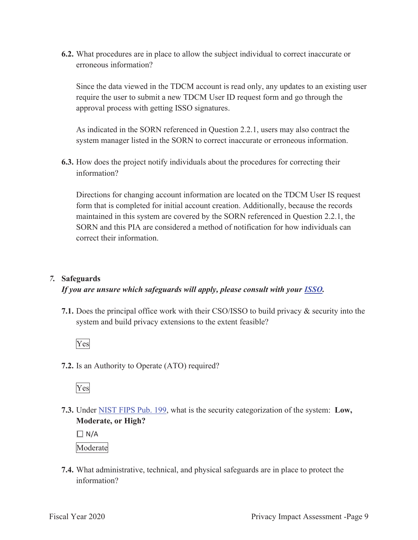**6.2.** What procedures are in place to allow the subject individual to correct inaccurate or erroneous information?

Since the data viewed in the TDCM account is read only, any updates to an existing user require the user to submit a new TDCM User ID request form and go through the approval process with getting ISSO signatures.

As indicated in the SORN referenced in Question 2.2.1, users may also contract the system manager listed in the SORN to correct inaccurate or erroneous information.

**6.3.** How does the project notify individuals about the procedures for correcting their information?

Directions for changing account information are located on the TDCM User IS request form that is completed for initial account creation. Additionally, because the records maintained in this system are covered by the SORN referenced in Question 2.2.1, the SORN and this PIA are considered a method of notification for how individuals can correct their information.

#### *7.* **Safeguards**

#### *If you are unsure which safeguards will apply, please consult with your ISSO.*

**7.1.** Does the principal office work with their CSO/ISSO to build privacy & security into the system and build privacy extensions to the extent feasible?



**7.2.** Is an Authority to Operate (ATO) required?



**7.3.** Under NIST FIPS Pub. 199, what is the security categorization of the system: **Low, Moderate, or High?** 

 $\Box$  N/A

Moderate

**7.4.** What administrative, technical, and physical safeguards are in place to protect the information?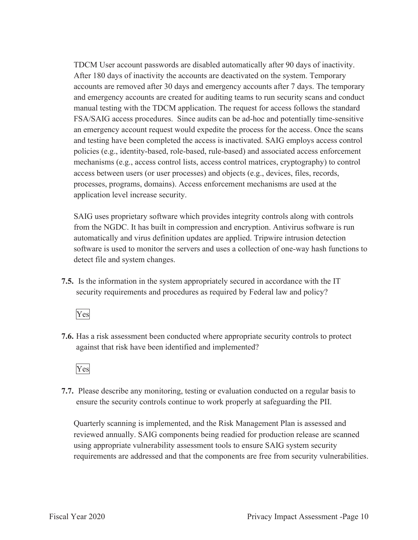TDCM User account passwords are disabled automatically after 90 days of inactivity. After 180 days of inactivity the accounts are deactivated on the system. Temporary accounts are removed after 30 days and emergency accounts after 7 days. The temporary and emergency accounts are created for auditing teams to run security scans and conduct manual testing with the TDCM application. The request for access follows the standard FSA/SAIG access procedures. Since audits can be ad-hoc and potentially time-sensitive an emergency account request would expedite the process for the access. Once the scans and testing have been completed the access is inactivated. SAIG employs access control policies (e.g., identity-based, role-based, rule-based) and associated access enforcement mechanisms (e.g., access control lists, access control matrices, cryptography) to control access between users (or user processes) and objects (e.g., devices, files, records, processes, programs, domains). Access enforcement mechanisms are used at the application level increase security.

SAIG uses proprietary software which provides integrity controls along with controls from the NGDC. It has built in compression and encryption. Antivirus software is run automatically and virus definition updates are applied. Tripwire intrusion detection software is used to monitor the servers and uses a collection of one-way hash functions to detect file and system changes.

**7.5.** Is the information in the system appropriately secured in accordance with the IT security requirements and procedures as required by Federal law and policy?



**7.6.** Has a risk assessment been conducted where appropriate security controls to protect against that risk have been identified and implemented?



**7.7.** Please describe any monitoring, testing or evaluation conducted on a regular basis to ensure the security controls continue to work properly at safeguarding the PII.

Quarterly scanning is implemented, and the Risk Management Plan is assessed and reviewed annually. SAIG components being readied for production release are scanned using appropriate vulnerability assessment tools to ensure SAIG system security requirements are addressed and that the components are free from security vulnerabilities.